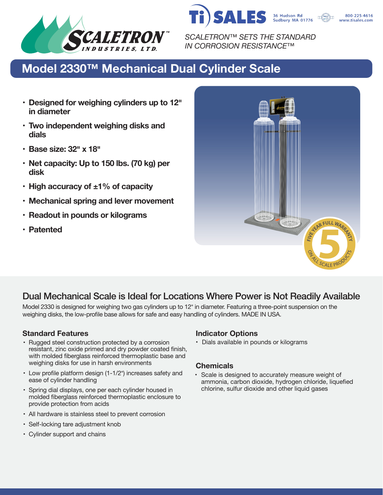



800-225-4616 www.tisales.com

*SCALETRON™ SETS THE STANDARD IN CORROSION RESISTANCE™*

# **Model 2330™ Mechanical Dual Cylinder Scale**

- **• Designed for weighing cylinders up to 12� in diameter**
- **• Two independent weighing disks and dials**
- **• Base size: 32� x 18�**
- **• Net capacity: Up to 150 lbs. (70 kg) per disk**
- **• High accuracy of ±1% of capacity**
- **• Mechanical spring and lever movement**
- **• Readout in pounds or kilograms**
- **• Patented**



# Dual Mechanical Scale is Ideal for Locations Where Power is Not Readily Available

Model 2330 is designed for weighing two gas cylinders up to 12" in diameter. Featuring a three-point suspension on the weighing disks, the low-profile base allows for safe and easy handling of cylinders. MADE IN USA.

## **Standard Features Indicator Options**

- Rugged steel construction protected by a corrosion resistant, zinc oxide primed and dry powder coated finish, with molded fiberglass reinforced thermoplastic base and weighing disks for use in harsh environments
- Low profile platform design (1-1/2") increases safety and ease of cylinder handling
- Spring dial displays, one per each cylinder housed in molded fiberglass reinforced thermoplastic enclosure to provide protection from acids
- All hardware is stainless steel to prevent corrosion
- Self-locking tare adjustment knob
- Cylinder support and chains

• Dials available in pounds or kilograms

### **Chemicals**

• Scale is designed to accurately measure weight of ammonia, carbon dioxide, hydrogen chloride, liquefied chlorine, sulfur dioxide and other liquid gases